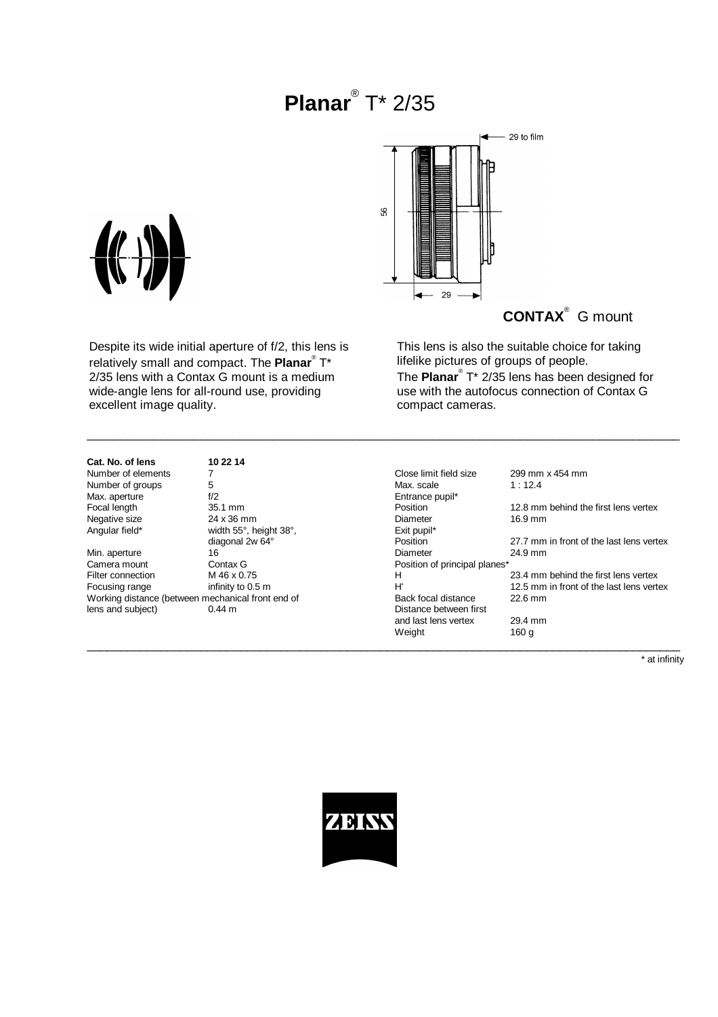# **Planar**® T\* 2/35

\_\_\_\_\_\_\_\_\_\_\_\_\_\_\_\_\_\_\_\_\_\_\_\_\_\_\_\_\_\_\_\_\_\_\_\_\_\_\_\_\_\_\_\_\_\_\_\_\_\_\_\_\_\_\_\_\_\_\_\_\_\_\_\_\_\_\_\_\_\_\_\_\_\_\_\_\_\_\_\_\_\_\_\_\_\_\_\_\_



**CONTAX**® G mount

This lens is also the suitable choice for taking lifelike pictures of groups of people. The **Planar**® T\* 2/35 lens has been designed for use with the autofocus connection of Contax G compact cameras.

### **Cat. No. of lens 10 22 14** Number of elements 7<br>Number of groups 5 Number of groups 5<br>
Max. aperture 6 1/2 Max. aperture f/2<br>Focal length 35.1 mm Negative size 24 x 36 mm<br>Angular field\* width  $55^\circ$ , he

excellent image quality.

Despite its wide initial aperture of f/2, this lens is relatively small and compact. The **Planar**® T\* 2/35 lens with a Contax G mount is a medium wide-angle lens for all-round use, providing

| Number of elements                                |                        | Close limit field size        | 299 mm x 454 mm                          |
|---------------------------------------------------|------------------------|-------------------------------|------------------------------------------|
| Number of groups                                  | 5                      | Max. scale                    | 1:12.4                                   |
| Max. aperture                                     | f/2                    | Entrance pupil*               |                                          |
| Focal length                                      | 35.1 mm                | Position                      | 12.8 mm behind the first lens vertex     |
| Negative size                                     | 24 x 36 mm             | Diameter                      | 16.9 mm                                  |
| Angular field*                                    | width 55°, height 38°, | Exit pupil*                   |                                          |
|                                                   | diagonal 2w 64°        | Position                      | 27.7 mm in front of the last lens vertex |
| Min. aperture                                     | 16                     | Diameter                      | 24.9 mm                                  |
| Camera mount                                      | Contax G               | Position of principal planes* |                                          |
| Filter connection                                 | M 46 x 0.75            | н                             | 23.4 mm behind the first lens vertex     |
| Focusing range                                    | infinity to 0.5 m      | H'                            | 12.5 mm in front of the last lens vertex |
| Working distance (between mechanical front end of |                        | Back focal distance           | $22.6$ mm                                |
| lens and subject)                                 | $0.44 \text{ m}$       | Distance between first        |                                          |
|                                                   |                        | and last lens vertex          | 29.4 mm                                  |
|                                                   |                        | Weight                        | 160 g                                    |
|                                                   |                        |                               |                                          |

\* at infinity